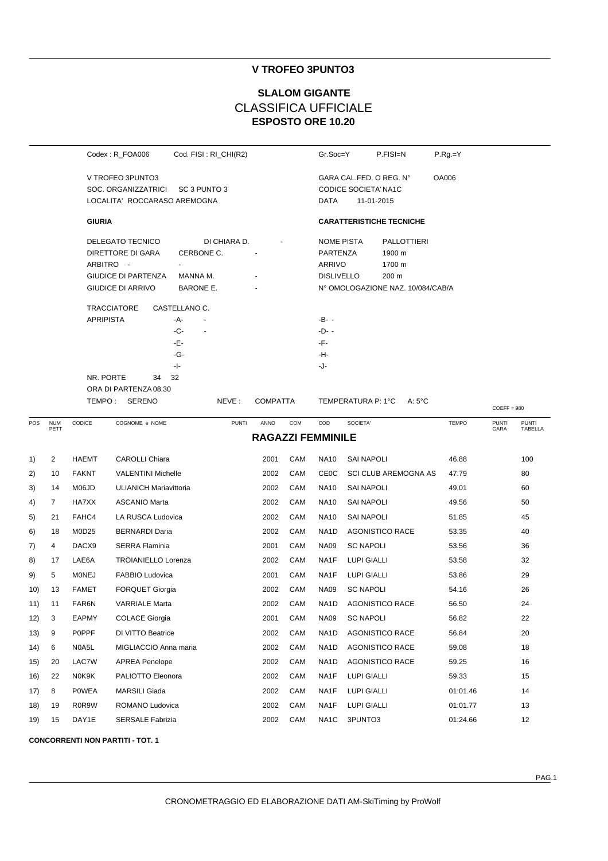# **V TROFEO 3PUNTO3**

# **ESPOSTO ORE 10.20 SLALOM GIGANTE** CLASSIFICA UFFICIALE

|     |                    |                               | Codex: R_FOA006                                                                                                                                                   | Cod. FISI: RI_CHI(R2)                                                                                         |                          |     | Gr.Soc=Y                                                                                            |                    | P.FISI=N                                                                      | $P.Rg = Y$   |                      |                         |
|-----|--------------------|-------------------------------|-------------------------------------------------------------------------------------------------------------------------------------------------------------------|---------------------------------------------------------------------------------------------------------------|--------------------------|-----|-----------------------------------------------------------------------------------------------------|--------------------|-------------------------------------------------------------------------------|--------------|----------------------|-------------------------|
|     |                    |                               | V TROFEO 3PUNTO3<br>SOC. ORGANIZZATRICI<br>LOCALITA' ROCCARASO AREMOGNA                                                                                           | SC 3 PUNTO 3                                                                                                  |                          |     | GARA CAL.FED. O REG. N°<br><b>OA006</b><br><b>CODICE SOCIETA' NA1C</b><br>DATA<br>11-01-2015        |                    |                                                                               |              |                      |                         |
|     |                    | <b>GIURIA</b>                 |                                                                                                                                                                   |                                                                                                               |                          |     |                                                                                                     |                    | <b>CARATTERISTICHE TECNICHE</b>                                               |              |                      |                         |
|     |                    | <b>APRIPISTA</b><br>NR. PORTE | DELEGATO TECNICO<br>DIRETTORE DI GARA<br>ARBITRO -<br><b>GIUDICE DI PARTENZA</b><br><b>GIUDICE DI ARRIVO</b><br><b>TRACCIATORE</b><br>34<br>ORA DI PARTENZA 08.30 | DI CHIARA D.<br>CERBONE C.<br>MANNA M.<br>BARONE E.<br>CASTELLANO C.<br>-A-<br>-C-<br>-Е-<br>-G-<br>-1-<br>32 |                          |     | <b>NOME PISTA</b><br>PARTENZA<br>ARRIVO<br><b>DISLIVELLO</b><br>-B- -<br>$-D-$<br>-F-<br>-H-<br>-J- |                    | PALLOTTIERI<br>1900 m<br>1700 m<br>200 m<br>N° OMOLOGAZIONE NAZ. 10/084/CAB/A |              |                      |                         |
|     |                    |                               | TEMPO: SERENO                                                                                                                                                     | NEVE:                                                                                                         | <b>COMPATTA</b>          |     |                                                                                                     | TEMPERATURA P: 1°C | $A:5^{\circ}C$                                                                |              | $COEFF = 980$        |                         |
| POS | <b>NUM</b><br>PETT | CODICE                        | COGNOME e NOME                                                                                                                                                    | <b>PUNTI</b>                                                                                                  | ANNO                     | COM | COD                                                                                                 | SOCIETA'           |                                                                               | <b>TEMPO</b> | <b>PUNTI</b><br>GARA | <b>PUNTI</b><br>TABELLA |
|     |                    |                               |                                                                                                                                                                   |                                                                                                               | <b>RAGAZZI FEMMINILE</b> |     |                                                                                                     |                    |                                                                               |              |                      |                         |
| 1)  | $\overline{2}$     | <b>HAEMT</b>                  | <b>CAROLLI Chiara</b>                                                                                                                                             |                                                                                                               | 2001                     | CAM | <b>NA10</b>                                                                                         | <b>SAI NAPOLI</b>  |                                                                               | 46.88        |                      | 100                     |
| 2)  | 10                 | <b>FAKNT</b>                  | <b>VALENTINI Michelle</b>                                                                                                                                         |                                                                                                               | 2002                     | CAM | CEOC                                                                                                |                    | <b>SCI CLUB AREMOGNA AS</b>                                                   | 47.79        |                      | 80                      |
| 3)  | 14                 | M06JD                         | <b>ULIANICH Mariavittoria</b>                                                                                                                                     |                                                                                                               | 2002                     | CAM | <b>NA10</b>                                                                                         | <b>SAI NAPOLI</b>  |                                                                               | 49.01        |                      | 60                      |
| 4)  | $\overline{7}$     | HA7XX                         | <b>ASCANIO Marta</b>                                                                                                                                              |                                                                                                               | 2002                     | CAM | <b>NA10</b>                                                                                         | <b>SAI NAPOLI</b>  |                                                                               | 49.56        |                      | 50                      |
| 5)  | 21                 | FAHC4                         | LA RUSCA Ludovica                                                                                                                                                 |                                                                                                               | 2002                     | CAM | <b>NA10</b>                                                                                         | SAI NAPOLI         |                                                                               | 51.85        |                      | 45                      |
| 6)  | 18                 | M0D25                         | <b>BERNARDI Daria</b>                                                                                                                                             |                                                                                                               | 2002                     | CAM | NA <sub>1</sub> D                                                                                   |                    | <b>AGONISTICO RACE</b>                                                        | 53.35        |                      | 40                      |
| 7)  | $\overline{4}$     | DACX9                         | <b>SERRA Flaminia</b>                                                                                                                                             |                                                                                                               | 2001                     | CAM | <b>NA09</b>                                                                                         | <b>SC NAPOLI</b>   |                                                                               | 53.56        |                      | 36                      |
| 8)  | 17                 | LAE6A                         | <b>TROIANIELLO Lorenza</b>                                                                                                                                        |                                                                                                               | 2002                     | CAM | NA1F                                                                                                | <b>LUPI GIALLI</b> |                                                                               | 53.58        |                      | 32                      |
| 9)  | 5                  | <b>MONEJ</b>                  | FABBIO Ludovica                                                                                                                                                   |                                                                                                               | 2001                     | CAM | NA1F                                                                                                | LUPI GIALLI        |                                                                               | 53.86        |                      | 29                      |
| 10) | 13                 | <b>FAMET</b>                  | <b>FORQUET Giorgia</b>                                                                                                                                            |                                                                                                               | 2002                     | CAM | <b>NA09</b>                                                                                         | <b>SC NAPOLI</b>   |                                                                               | 54.16        |                      | 26                      |
| 11) | 11                 | FAR6N                         | <b>VARRIALE Marta</b>                                                                                                                                             |                                                                                                               | 2002                     | CAM | NA <sub>1</sub> D                                                                                   |                    | <b>AGONISTICO RACE</b>                                                        | 56.50        |                      | 24                      |
| 12) | 3                  | EAPMY                         | <b>COLACE Giorgia</b>                                                                                                                                             |                                                                                                               | 2001                     | CAM | <b>NA09</b>                                                                                         | <b>SC NAPOLI</b>   |                                                                               | 56.82        |                      | 22                      |
| 13) | 9                  | <b>POPPF</b>                  | DI VITTO Beatrice                                                                                                                                                 |                                                                                                               | 2002                     | CAM | NA <sub>1</sub> D                                                                                   |                    | <b>AGONISTICO RACE</b>                                                        | 56.84        |                      | 20                      |
| 14) | 6                  | N0A5L                         | MIGLIACCIO Anna maria                                                                                                                                             |                                                                                                               | 2002                     | CAM | NA <sub>1</sub> D                                                                                   |                    | <b>AGONISTICO RACE</b>                                                        | 59.08        |                      | 18                      |
| 15) | 20                 | LAC7W                         | <b>APREA Penelope</b>                                                                                                                                             |                                                                                                               | 2002                     | CAM | NA <sub>1</sub> D                                                                                   |                    | <b>AGONISTICO RACE</b>                                                        | 59.25        |                      | 16                      |
| 16) | 22                 | N0K9K                         | PALIOTTO Eleonora                                                                                                                                                 |                                                                                                               | 2002                     | CAM | NA1F                                                                                                | LUPI GIALLI        |                                                                               | 59.33        |                      | 15                      |
|     | 8                  | POWEA                         | MARSILI Giada                                                                                                                                                     |                                                                                                               | 2002                     | CAM | NA1F                                                                                                | <b>LUPI GIALLI</b> |                                                                               | 01:01.46     |                      | 14                      |
| 17) |                    |                               | ROMANO Ludovica                                                                                                                                                   |                                                                                                               |                          |     |                                                                                                     |                    |                                                                               |              |                      |                         |
| 18) | 19                 | R0R9W                         |                                                                                                                                                                   |                                                                                                               | 2002                     | CAM | NA1F                                                                                                | LUPI GIALLI        |                                                                               | 01:01.77     |                      | 13                      |
| 19) | 15                 | DAY1E                         | <b>SERSALE Fabrizia</b>                                                                                                                                           |                                                                                                               | 2002                     | CAM | NA1C                                                                                                | 3PUNTO3            |                                                                               | 01:24.66     |                      | 12                      |

**CONCORRENTI NON PARTITI - TOT. 1**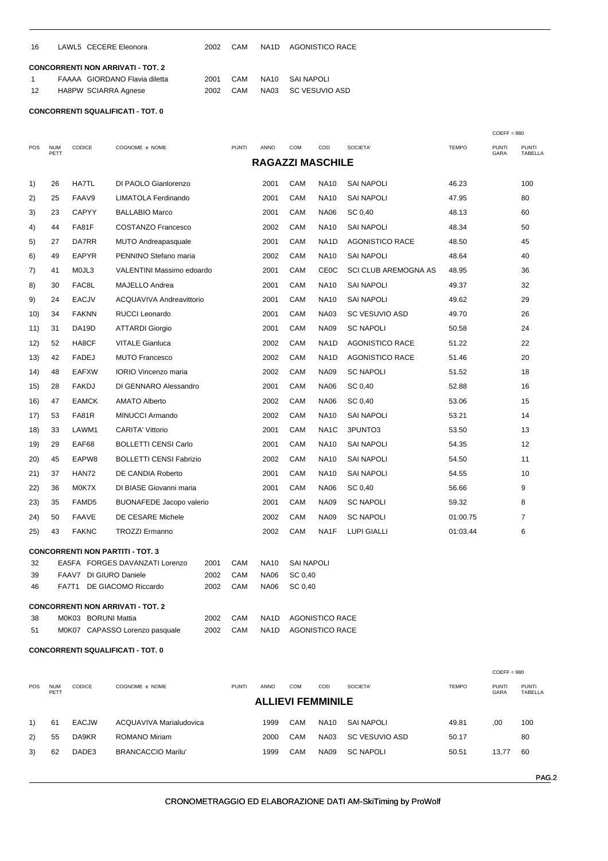| - 16 | LAWL5 CECERE Eleonora                    | 2002 | CAM | NA1D AGONISTICO RACE |
|------|------------------------------------------|------|-----|----------------------|
|      | <b>CONCORRENTI NON ARRIVATI - TOT. 2</b> |      |     |                      |

|      | FAAAA GIORDANO Flavia diletta |      |  | 2001 CAM NA10 SAINAPOLI |
|------|-------------------------------|------|--|-------------------------|
| - 12 | HA8PW SCIARRA Agnese          | 2002 |  | CAM NA03 SC VESUVIO ASD |

|     |                                    |                        |                                          |                   |                                                  |                         |                   |                   |                             |              | $COEFF = 980$        |                         |
|-----|------------------------------------|------------------------|------------------------------------------|-------------------|--------------------------------------------------|-------------------------|-------------------|-------------------|-----------------------------|--------------|----------------------|-------------------------|
| POS | <b>NUM</b><br>PETT                 | CODICE                 | COGNOME e NOME                           |                   | <b>PUNTI</b>                                     | <b>ANNO</b>             | COM               | COD               | SOCIETA'                    | <b>TEMPO</b> | <b>PUNTI</b><br>GARA | <b>PUNTI</b><br>TABELLA |
|     |                                    |                        |                                          |                   |                                                  | <b>RAGAZZI MASCHILE</b> |                   |                   |                             |              |                      |                         |
| 1)  | 26                                 | <b>HA7TL</b>           | DI PAOLO Gianlorenzo                     |                   |                                                  | 2001                    | CAM               | <b>NA10</b>       | <b>SAI NAPOLI</b>           | 46.23        |                      | 100                     |
| 2)  | 25                                 | FAAV9                  | <b>LIMATOLA Ferdinando</b>               |                   |                                                  | 2001                    | CAM               | NA10              | <b>SAI NAPOLI</b>           | 47.95        |                      | 80                      |
| 3)  | 23                                 | <b>CAPYY</b>           | <b>BALLABIO Marco</b>                    |                   |                                                  | 2001                    | CAM               | <b>NA06</b>       | SC 0,40                     | 48.13        |                      | 60                      |
| 4)  | 44                                 | FA81F                  | <b>COSTANZO Francesco</b>                |                   |                                                  | 2002                    | CAM               | <b>NA10</b>       | <b>SAI NAPOLI</b>           | 48.34        |                      | 50                      |
| 5)  | 27                                 | DA7RR                  | <b>MUTO Andreapasquale</b>               |                   |                                                  | 2001                    | CAM               | NA <sub>1</sub> D | <b>AGONISTICO RACE</b>      | 48.50        |                      | 45                      |
| 6)  | 49                                 | <b>EAPYR</b>           | PENNINO Stefano maria                    |                   |                                                  | 2002                    | CAM               | <b>NA10</b>       | <b>SAI NAPOLI</b>           | 48.64        |                      | 40                      |
| 7)  | 41                                 | M0JL3                  | VALENTINI Massimo edoardo                |                   |                                                  | 2001                    | CAM               | CEOC              | <b>SCI CLUB AREMOGNA AS</b> | 48.95        |                      | 36                      |
| 8)  | 30                                 | FAC8L                  | MAJELLO Andrea                           |                   |                                                  | 2001                    | CAM               | <b>NA10</b>       | <b>SAI NAPOLI</b>           | 49.37        |                      | 32                      |
| 9)  | 24                                 | <b>EACJV</b>           | ACQUAVIVA Andreavittorio                 |                   |                                                  | 2001                    | CAM               | <b>NA10</b>       | <b>SAI NAPOLI</b>           | 49.62        |                      | 29                      |
| 10) | 34                                 | <b>FAKNN</b>           | <b>RUCCI Leonardo</b>                    |                   |                                                  | 2001                    | CAM               | <b>NA03</b>       | <b>SC VESUVIO ASD</b>       | 49.70        |                      | 26                      |
| 11) | 31                                 | DA19D                  | <b>ATTARDI Giorgio</b>                   |                   |                                                  | 2001                    | CAM               | <b>NA09</b>       | <b>SC NAPOLI</b>            | 50.58        |                      | 24                      |
| 12) | 52                                 | HA8CF                  | <b>VITALE Gianluca</b>                   |                   |                                                  | 2002                    | CAM               | NA1D              | AGONISTICO RACE             | 51.22        |                      | 22                      |
| 13) | 42                                 | <b>FADEJ</b>           | <b>MUTO Francesco</b>                    |                   |                                                  | 2002                    | CAM               | NA1D              | AGONISTICO RACE             | 51.46        |                      | 20                      |
| 14) | 48                                 | <b>EAFXW</b>           | <b>IORIO Vincenzo maria</b>              |                   |                                                  | 2002                    | CAM               | <b>NA09</b>       | <b>SC NAPOLI</b>            | 51.52        |                      | 18                      |
| 15) | 28                                 | <b>FAKDJ</b>           | DI GENNARO Alessandro                    |                   |                                                  | 2001                    | CAM               | <b>NA06</b>       | SC 0,40                     | 52.88        |                      | 16                      |
| 16) | 47                                 | <b>EAMCK</b>           | <b>AMATO Alberto</b>                     |                   |                                                  | 2002                    | CAM               | <b>NA06</b>       | SC 0,40                     | 53.06        |                      | 15                      |
| 17) | 53                                 | <b>FA81R</b>           | MINUCCI Armando                          |                   |                                                  | 2002                    | CAM               | <b>NA10</b>       | <b>SAI NAPOLI</b>           | 53.21        |                      | 14                      |
| 18) | 33                                 | LAWM1                  | <b>CARITA' Vittorio</b>                  |                   |                                                  | 2001                    | CAM               | NA1C              | 3PUNTO3                     | 53.50        |                      | 13                      |
| 19) | 29                                 | EAF68                  | <b>BOLLETTI CENSI Carlo</b>              |                   |                                                  | 2001                    | CAM               | <b>NA10</b>       | <b>SAI NAPOLI</b>           | 54.35        |                      | 12                      |
| 20) | 45                                 | EAPW8                  | <b>BOLLETTI CENSI Fabrizio</b>           |                   |                                                  | 2002                    | CAM               | <b>NA10</b>       | <b>SAI NAPOLI</b>           | 54.50        |                      | 11                      |
| 21) | 37                                 | HAN72                  | DE CANDIA Roberto                        |                   |                                                  | 2001                    | CAM               | <b>NA10</b>       | <b>SAI NAPOLI</b>           | 54.55        |                      | 10                      |
| 22) | 36                                 | M0K7X                  | DI BIASE Giovanni maria                  |                   |                                                  | 2001                    | CAM               | <b>NA06</b>       | SC 0,40                     | 56.66        |                      | 9                       |
| 23) | 35                                 | FAMD <sub>5</sub>      | <b>BUONAFEDE Jacopo valerio</b>          |                   |                                                  | 2001                    | CAM               | <b>NA09</b>       | <b>SC NAPOLI</b>            | 59.32        |                      | 8                       |
| 24) | 50                                 | <b>FAAVE</b>           | DE CESARE Michele                        |                   |                                                  | 2002                    | CAM               | <b>NA09</b>       | <b>SC NAPOLI</b>            | 01:00.75     |                      | 7                       |
| 25) | 43                                 | <b>FAKNC</b>           | <b>TROZZI Ermanno</b>                    |                   |                                                  | 2002                    | CAM               | NA1F              | <b>LUPI GIALLI</b>          | 01:03.44     |                      | 6                       |
|     |                                    |                        | <b>CONCORRENTI NON PARTITI - TOT. 3</b>  |                   |                                                  |                         |                   |                   |                             |              |                      |                         |
| 32  |                                    |                        | EA5FA FORGES DAVANZATI Lorenzo           | 2001              | CAM                                              | <b>NA10</b>             | <b>SAI NAPOLI</b> |                   |                             |              |                      |                         |
| 39  |                                    | FAAV7 DI GIURO Daniele |                                          | 2002              | CAM                                              | <b>NA06</b>             | SC 0,40           |                   |                             |              |                      |                         |
| 46  |                                    | FA7T1                  | DE GIACOMO Riccardo                      | 2002              | CAM                                              | <b>NA06</b>             | SC 0,40           |                   |                             |              |                      |                         |
|     |                                    |                        | <b>CONCORRENTI NON ARRIVATI - TOT. 2</b> |                   |                                                  |                         |                   |                   |                             |              |                      |                         |
| 38  | M0K03 BORUNI Mattia<br>2002<br>CAM |                        |                                          | NA <sub>1</sub> D | <b>AGONISTICO RACE</b><br><b>AGONISTICO RACE</b> |                         |                   |                   |                             |              |                      |                         |
| 51  |                                    |                        | M0K07 CAPASSO Lorenzo pasquale           | 2002              | CAM                                              | NA1D                    |                   |                   |                             |              |                      |                         |

## **CONCORRENTI SQUALIFICATI - TOT. 0**

|                          |                    |               |                           |              |             |            |             |                  |              | $COEFF = 980$        |                                |
|--------------------------|--------------------|---------------|---------------------------|--------------|-------------|------------|-------------|------------------|--------------|----------------------|--------------------------------|
| <b>POS</b>               | <b>NUM</b><br>PETT | <b>CODICE</b> | COGNOME e NOME            | <b>PUNTI</b> | <b>ANNO</b> | <b>COM</b> | COD         | SOCIETA'         | <b>TEMPO</b> | <b>PUNTI</b><br>GARA | <b>PUNTI</b><br><b>TABELLA</b> |
| <b>ALLIEVI FEMMINILE</b> |                    |               |                           |              |             |            |             |                  |              |                      |                                |
| 1)                       | 61                 | <b>EACJW</b>  | ACQUAVIVA Marialudovica   |              | 1999        | <b>CAM</b> | <b>NA10</b> | SAI NAPOLI       | 49.81        | .00                  | 100                            |
| 2)                       | 55                 | DA9KR         | <b>ROMANO Miriam</b>      |              | 2000        | CAM        | <b>NA03</b> | SC VESUVIO ASD   | 50.17        |                      | 80                             |
| 3)                       | 62                 | DADE3         | <b>BRANCACCIO Marilu'</b> |              | 1999        | CAM        | <b>NA09</b> | <b>SC NAPOLI</b> | 50.51        | 13.77                | 60                             |
|                          |                    |               |                           |              |             |            |             |                  |              |                      |                                |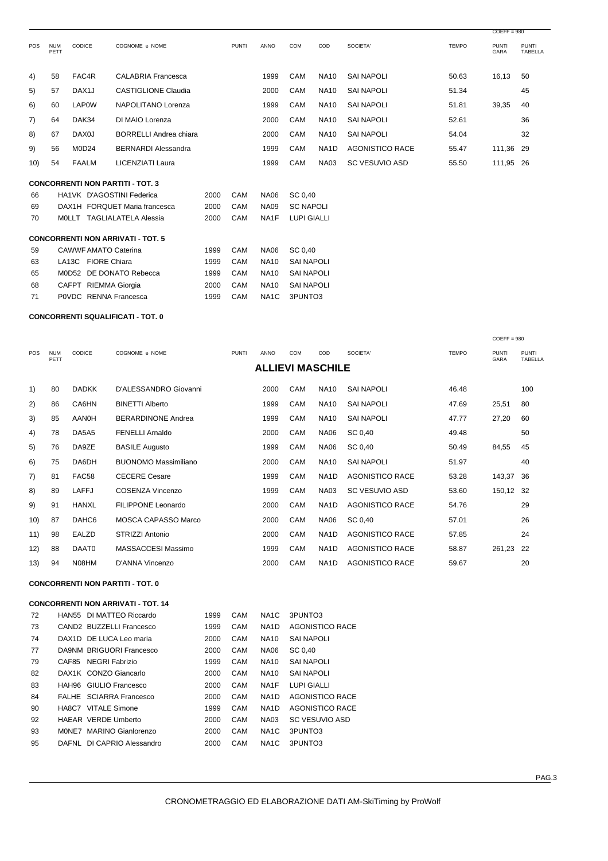|            |                    |                             |                                          |      |              |                   |                    |                   |                        |              | $COEFF = 980$               |                                |
|------------|--------------------|-----------------------------|------------------------------------------|------|--------------|-------------------|--------------------|-------------------|------------------------|--------------|-----------------------------|--------------------------------|
| <b>POS</b> | <b>NUM</b><br>PETT | CODICE                      | COGNOME e NOME                           |      | <b>PUNTI</b> | <b>ANNO</b>       | COM                | COD               | SOCIETA'               | <b>TEMPO</b> | <b>PUNTI</b><br><b>GARA</b> | <b>PUNTI</b><br><b>TABELLA</b> |
| 4)         | 58                 | FAC4R                       | <b>CALABRIA Francesca</b>                |      |              | 1999              | CAM                | <b>NA10</b>       | <b>SAI NAPOLI</b>      | 50.63        | 16,13                       | 50                             |
| 5)         | 57                 | DAX <sub>1</sub> J          | <b>CASTIGLIONE Claudia</b>               |      |              | 2000              | CAM                | <b>NA10</b>       | <b>SAI NAPOLI</b>      | 51.34        |                             | 45                             |
| 6)         | 60                 | <b>LAP0W</b>                | NAPOLITANO Lorenza                       |      |              | 1999              | CAM                | <b>NA10</b>       | <b>SAI NAPOLI</b>      | 51.81        | 39,35                       | 40                             |
| 7)         | 64                 | DAK34                       | DI MAIO Lorenza                          |      |              | 2000              | CAM                | <b>NA10</b>       | <b>SAI NAPOLI</b>      | 52.61        |                             | 36                             |
| 8)         | 67                 | DAX <sub>0</sub> J          | <b>BORRELLI Andrea chiara</b>            |      |              | 2000              | CAM                | <b>NA10</b>       | <b>SAI NAPOLI</b>      | 54.04        |                             | 32                             |
| 9)         | 56                 | <b>M0D24</b>                | <b>BERNARDI Alessandra</b>               |      |              | 1999              | CAM                | NA <sub>1</sub> D | <b>AGONISTICO RACE</b> | 55.47        | 111,36                      | 29                             |
| 10)        | 54                 | FAALM                       | <b>LICENZIATI Laura</b>                  |      |              | 1999              | CAM                | <b>NA03</b>       | <b>SC VESUVIO ASD</b>  | 55.50        | 111,95 26                   |                                |
|            |                    |                             | <b>CONCORRENTI NON PARTITI - TOT. 3</b>  |      |              |                   |                    |                   |                        |              |                             |                                |
| 66         |                    |                             | HA1VK D'AGOSTINI Federica                | 2000 | CAM          | <b>NA06</b>       | SC 0.40            |                   |                        |              |                             |                                |
| 69         |                    |                             | DAX1H FORQUET Maria francesca            | 2000 | CAM          | <b>NA09</b>       | <b>SC NAPOLI</b>   |                   |                        |              |                             |                                |
| 70         |                    |                             | MOLLT TAGLIALATELA Alessia               | 2000 | CAM          | NA <sub>1</sub> F | <b>LUPI GIALLI</b> |                   |                        |              |                             |                                |
|            |                    |                             | <b>CONCORRENTI NON ARRIVATI - TOT. 5</b> |      |              |                   |                    |                   |                        |              |                             |                                |
| 59         |                    | <b>CAWWF AMATO Caterina</b> |                                          | 1999 | CAM          | <b>NA06</b>       | SC 0.40            |                   |                        |              |                             |                                |
| 63         |                    | LA13C FIORE Chiara          |                                          | 1999 | <b>CAM</b>   | <b>NA10</b>       | <b>SAI NAPOLI</b>  |                   |                        |              |                             |                                |
| 65         |                    |                             | M0D52 DE DONATO Rebecca                  | 1999 | CAM          | <b>NA10</b>       | <b>SAI NAPOLI</b>  |                   |                        |              |                             |                                |
| 68         |                    | CAFPT RIEMMA Giorgia        |                                          | 2000 | CAM          | <b>NA10</b>       | <b>SAI NAPOLI</b>  |                   |                        |              |                             |                                |
| 71         |                    | P0VDC RENNA Francesca       |                                          | 1999 | CAM          | NA <sub>1</sub> C | 3PUNTO3            |                   |                        |              |                             |                                |

| <b>POS</b> | <b>NUM</b> | <b>CODICE</b>     | COGNOME e NOME             | <b>PUNTI</b> | <b>ANNO</b>             | <b>COM</b> | COD               | SOCIETA'               | <b>TEMPO</b> | <b>PUNTI</b> | <b>PUNTI</b>   |
|------------|------------|-------------------|----------------------------|--------------|-------------------------|------------|-------------------|------------------------|--------------|--------------|----------------|
|            | PETT       |                   |                            |              | <b>ALLIEVI MASCHILE</b> |            |                   |                        |              | GARA         | <b>TABELLA</b> |
|            |            |                   |                            |              |                         |            |                   |                        |              |              |                |
| 1)         | 80         | <b>DADKK</b>      | D'ALESSANDRO Giovanni      |              | 2000                    | CAM        | <b>NA10</b>       | <b>SAI NAPOLI</b>      | 46.48        |              | 100            |
| 2)         | 86         | CA6HN             | <b>BINETTI Alberto</b>     |              | 1999                    | CAM        | <b>NA10</b>       | <b>SAI NAPOLI</b>      | 47.69        | 25,51        | 80             |
| 3)         | 85         | AANOH             | <b>BERARDINONE Andrea</b>  |              | 1999                    | CAM        | <b>NA10</b>       | <b>SAI NAPOLI</b>      | 47.77        | 27,20        | 60             |
| 4)         | 78         | DA5A5             | <b>FENELLI Arnaldo</b>     |              | 2000                    | CAM        | <b>NA06</b>       | SC 0,40                | 49.48        |              | 50             |
| 5)         | 76         | DA9ZE             | <b>BASILE Augusto</b>      |              | 1999                    | CAM        | <b>NA06</b>       | SC 0,40                | 50.49        | 84,55        | 45             |
| 6)         | 75         | DA6DH             | BUONOMO Massimiliano       |              | 2000                    | CAM        | <b>NA10</b>       | <b>SAI NAPOLI</b>      | 51.97        |              | 40             |
| 7)         | 81         | FAC58             | <b>CECERE Cesare</b>       |              | 1999                    | CAM        | NA1D              | <b>AGONISTICO RACE</b> | 53.28        | 143,37       | 36             |
| 8)         | 89         | <b>LAFFJ</b>      | COSENZA Vincenzo           |              | 1999                    | CAM        | <b>NA03</b>       | <b>SC VESUVIO ASD</b>  | 53.60        | 150,12       | -32            |
| 9)         | 91         | <b>HANXL</b>      | FILIPPONE Leonardo         |              | 2000                    | CAM        | NA <sub>1</sub> D | <b>AGONISTICO RACE</b> | 54.76        |              | 29             |
| 10)        | 87         | DAHC <sub>6</sub> | <b>MOSCA CAPASSO Marco</b> |              | 2000                    | CAM        | <b>NA06</b>       | SC 0.40                | 57.01        |              | 26             |
| 11)        | 98         | EALZD             | STRIZZI Antonio            |              | 2000                    | CAM        | NA <sub>1</sub> D | <b>AGONISTICO RACE</b> | 57.85        |              | 24             |
| 12)        | 88         | DAAT0             | MASSACCESI Massimo         |              | 1999                    | CAM        | NA <sub>1</sub> D | <b>AGONISTICO RACE</b> | 58.87        | 261,23       | 22             |
| 13)        | 94         | N08HM             | D'ANNA Vincenzo            |              | 2000                    | CAM        | NA <sub>1</sub> D | <b>AGONISTICO RACE</b> | 59.67        |              | 20             |

## **CONCORRENTI NON PARTITI - TOT. 0**

#### **CONCORRENTI NON ARRIVATI - TOT. 14**

| 72 | HAN55 DI MATTEO Riccardo   | 1999 | CAM | NA <sub>1</sub> C | 3PUNTO3            |
|----|----------------------------|------|-----|-------------------|--------------------|
| 73 | CAND2 BUZZELLI Francesco   | 1999 | CAM | NA <sub>1</sub> D | AGONISTICO RACE    |
| 74 | DAX1D DE LUCA Leo maria    | 2000 | CAM | <b>NA10</b>       | <b>SAI NAPOLI</b>  |
| 77 | DA9NM BRIGUORI Francesco   | 2000 | CAM | <b>NA06</b>       | SC 0.40            |
| 79 | CAF85 NEGRI Fabrizio       | 1999 | CAM | <b>NA10</b>       | <b>SAI NAPOLI</b>  |
| 82 | DAX1K CONZO Giancarlo      | 2000 | CAM | <b>NA10</b>       | <b>SAI NAPOLI</b>  |
| 83 | HAH96 GIULIO Francesco     | 2000 | CAM | NA <sub>1</sub> F | <b>LUPI GIALLI</b> |
| 84 | FALHE SCIARRA Francesco    | 2000 | CAM | NA <sub>1</sub> D | AGONISTICO RACE    |
| 90 | HA8C7 VITALE Simone        | 1999 | CAM | NA <sub>1</sub> D | AGONISTICO RACE    |
| 92 | <b>HAEAR VERDE Umberto</b> | 2000 | CAM | <b>NA03</b>       | SC VESUVIO ASD     |
| 93 | MONE7 MARINO Gianlorenzo   | 2000 | CAM | NA <sub>1</sub> C | 3PUNTO3            |
| 95 | DAFNL DI CAPRIO Alessandro | 2000 | CAM | NA <sub>1</sub> C | 3PUNTO3            |

 $COEFF = 980$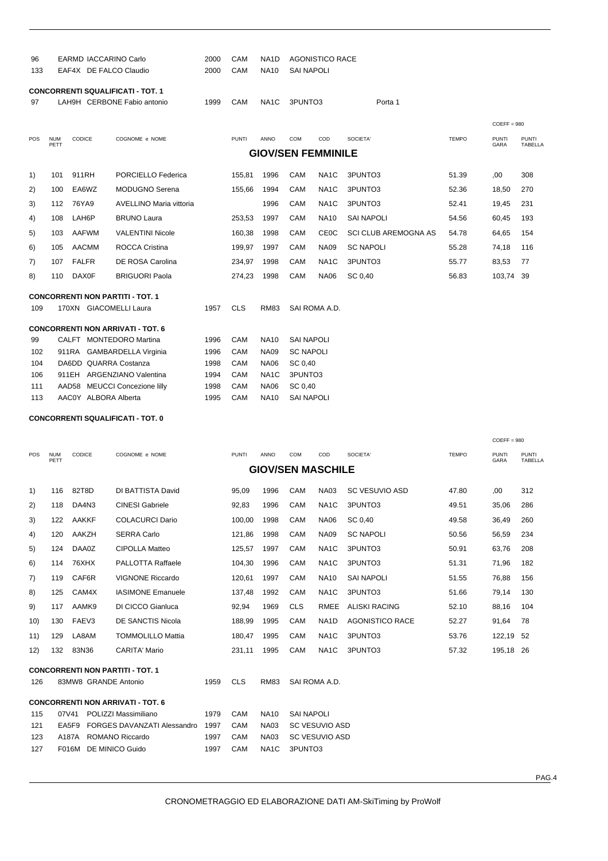| 96<br>133 | <b>EARMD IACCARINO Carlo</b><br>EAF4X DE FALCO Claudio |                        |                                          |      | CAM<br><b>CAM</b> | NA <sub>1</sub> D<br><b>NA10</b> | <b>AGONISTICO RACE</b><br><b>SAI NAPOLI</b> |                   |                      |              |                      |                         |
|-----------|--------------------------------------------------------|------------------------|------------------------------------------|------|-------------------|----------------------------------|---------------------------------------------|-------------------|----------------------|--------------|----------------------|-------------------------|
|           |                                                        |                        | <b>CONCORRENTI SQUALIFICATI - TOT. 1</b> |      |                   |                                  |                                             |                   |                      |              |                      |                         |
| 97        |                                                        |                        | LAH9H CERBONE Fabio antonio              | 1999 | CAM               | NA <sub>1</sub> C                | 3PUNTO3<br>Porta 1                          |                   |                      |              |                      |                         |
|           |                                                        |                        |                                          |      |                   |                                  |                                             |                   |                      |              | $COEFF = 980$        |                         |
| POS       | <b>NUM</b><br>PETT                                     | <b>CODICE</b>          | COGNOME e NOME                           |      | <b>PUNTI</b>      | <b>ANNO</b>                      | <b>COM</b>                                  | COD               | SOCIETA'             | <b>TEMPO</b> | <b>PUNTI</b><br>GARA | <b>PUNTI</b><br>TABELLA |
|           |                                                        |                        |                                          |      |                   |                                  | <b>GIOV/SEN FEMMINILE</b>                   |                   |                      |              |                      |                         |
| 1)        | 101                                                    | 911RH                  | PORCIELLO Federica                       |      | 155,81            | 1996                             | <b>CAM</b>                                  | NA <sub>1</sub> C | 3PUNTO3              | 51.39        | .00                  | 308                     |
| 2)        | 100                                                    | EA6WZ                  | <b>MODUGNO Serena</b>                    |      | 155,66            | 1994                             | CAM                                         | NA <sub>1</sub> C | 3PUNTO3              | 52.36        | 18,50                | 270                     |
| 3)        | 112                                                    | 76YA9                  | <b>AVELLINO Maria vittoria</b>           |      |                   | 1996                             | CAM                                         | NA <sub>1</sub> C | 3PUNTO3              | 52.41        | 19,45                | 231                     |
| 4)        | 108                                                    | LAH6P                  | <b>BRUNO Laura</b>                       |      | 253,53            | 1997                             | <b>CAM</b>                                  | <b>NA10</b>       | <b>SAI NAPOLI</b>    | 54.56        | 60,45                | 193                     |
| 5)        | 103                                                    | <b>AAFWM</b>           | <b>VALENTINI Nicole</b>                  |      | 160,38            | 1998                             | CAM                                         | <b>CE0C</b>       | SCI CLUB AREMOGNA AS | 54.78        | 64,65                | 154                     |
| 6)        | 105                                                    | <b>AACMM</b>           | <b>ROCCA Cristina</b>                    |      | 199,97            | 1997                             | CAM                                         | <b>NA09</b>       | <b>SC NAPOLI</b>     | 55.28        | 74,18                | 116                     |
| 7)        | 107                                                    | <b>FALFR</b>           | DE ROSA Carolina                         |      | 234,97            | 1998                             | CAM                                         | NA <sub>1</sub> C | 3PUNTO3              | 55.77        | 83,53                | 77                      |
| 8)        | 110                                                    | <b>DAX0F</b>           | <b>BRIGUORI Paola</b>                    |      | 274,23            | 1998                             | CAM                                         | <b>NA06</b>       | SC 0,40              | 56.83        | 103,74               | 39                      |
|           |                                                        |                        |                                          |      |                   |                                  |                                             |                   |                      |              |                      |                         |
|           |                                                        |                        | <b>CONCORRENTI NON PARTITI - TOT. 1</b>  |      |                   |                                  |                                             |                   |                      |              |                      |                         |
| 109       |                                                        | 170XN GIACOMELLI Laura |                                          | 1957 | <b>CLS</b>        | <b>RM83</b>                      |                                             | SAI ROMA A.D.     |                      |              |                      |                         |
|           |                                                        |                        | <b>CONCORRENTI NON ARRIVATI - TOT. 6</b> |      |                   |                                  |                                             |                   |                      |              |                      |                         |
| 99        |                                                        |                        | CALFT MONTEDORO Martina                  | 1996 | CAM               | <b>NA10</b>                      | <b>SAI NAPOLI</b>                           |                   |                      |              |                      |                         |
| 102       |                                                        | 911RA                  | <b>GAMBARDELLA Virginia</b>              | 1996 | CAM               | <b>NA09</b>                      | <b>SC NAPOLI</b>                            |                   |                      |              |                      |                         |
| 104       |                                                        | DA6DD QUARRA Costanza  |                                          | 1998 | <b>CAM</b>        | <b>NA06</b>                      | SC 0,40                                     |                   |                      |              |                      |                         |
| 106       |                                                        | 911EH                  | <b>ARGENZIANO Valentina</b>              | 1994 | CAM               | NA <sub>1</sub> C                | 3PUNTO3                                     |                   |                      |              |                      |                         |
| 111       |                                                        | AAD58                  | <b>MEUCCI Concezione lilly</b>           | 1998 | CAM               | <b>NA06</b>                      | SC 0,40                                     |                   |                      |              |                      |                         |
| 113       |                                                        | AAC0Y ALBORA Alberta   |                                          | 1995 | CAM               | <b>NA10</b>                      | <b>SAI NAPOLI</b>                           |                   |                      |              |                      |                         |
|           |                                                        |                        |                                          |      |                   |                                  |                                             |                   |                      |              |                      |                         |

|     |                    |                      |                                          |      |              |                   |                          |                   |                        |              | $COEFF = 980$        |                                |
|-----|--------------------|----------------------|------------------------------------------|------|--------------|-------------------|--------------------------|-------------------|------------------------|--------------|----------------------|--------------------------------|
| POS | <b>NUM</b><br>PETT | <b>CODICE</b>        | COGNOME e NOME                           |      | <b>PUNTI</b> | ANNO              | <b>COM</b>               | COD               | SOCIETA'               | <b>TEMPO</b> | <b>PUNTI</b><br>GARA | <b>PUNTI</b><br><b>TABELLA</b> |
|     |                    |                      |                                          |      |              |                   | <b>GIOV/SEN MASCHILE</b> |                   |                        |              |                      |                                |
| 1)  | 116                | 82T8D                | DI BATTISTA David                        |      | 95,09        | 1996              | CAM                      | <b>NA03</b>       | <b>SC VESUVIO ASD</b>  | 47.80        | 00,                  | 312                            |
| 2)  | 118                | DA4N3                | <b>CINESI Gabriele</b>                   |      | 92,83        | 1996              | <b>CAM</b>               | NA <sub>1</sub> C | 3PUNTO3                | 49.51        | 35,06                | 286                            |
| 3)  | 122                | <b>AAKKF</b>         | <b>COLACURCI Dario</b>                   |      | 100,00       | 1998              | <b>CAM</b>               | <b>NA06</b>       | SC 0,40                | 49.58        | 36,49                | 260                            |
| 4)  | 120                | AAKZH                | <b>SERRA Carlo</b>                       |      | 121,86       | 1998              | <b>CAM</b>               | <b>NA09</b>       | <b>SC NAPOLI</b>       | 50.56        | 56,59                | 234                            |
| 5)  | 124                | DAA0Z                | <b>CIPOLLA Matteo</b>                    |      | 125,57       | 1997              | CAM                      | NA <sub>1</sub> C | 3PUNTO3                | 50.91        | 63,76                | 208                            |
| 6)  | 114                | 76XHX                | <b>PALLOTTA Raffaele</b>                 |      | 104,30       | 1996              | <b>CAM</b>               | NA <sub>1</sub> C | 3PUNTO3                | 51.31        | 71,96                | 182                            |
| 7)  | 119                | CAF6R                | <b>VIGNONE Riccardo</b>                  |      | 120,61       | 1997              | <b>CAM</b>               | <b>NA10</b>       | <b>SAI NAPOLI</b>      | 51.55        | 76,88                | 156                            |
| 8)  | 125                | CAM4X                | <b>IASIMONE Emanuele</b>                 |      | 137,48       | 1992              | <b>CAM</b>               | NA <sub>1</sub> C | 3PUNTO3                | 51.66        | 79,14                | 130                            |
| 9)  | 117                | AAMK9                | DI CICCO Gianluca                        |      | 92,94        | 1969              | <b>CLS</b>               | <b>RMEE</b>       | <b>ALISKI RACING</b>   | 52.10        | 88,16                | 104                            |
| 10) | 130                | FAEV3                | <b>DE SANCTIS Nicola</b>                 |      | 188,99       | 1995              | <b>CAM</b>               | NA <sub>1</sub> D | <b>AGONISTICO RACE</b> | 52.27        | 91,64                | 78                             |
| 11) | 129                | LA8AM                | <b>TOMMOLILLO Mattia</b>                 |      | 180,47       | 1995              | <b>CAM</b>               | NA <sub>1</sub> C | 3PUNTO3                | 53.76        | 122,19               | 52                             |
| 12) | 132                | 83N36                | <b>CARITA' Mario</b>                     |      | 231,11       | 1995              | <b>CAM</b>               | NA <sub>1</sub> C | 3PUNTO3                | 57.32        | 195,18               | -26                            |
|     |                    |                      | <b>CONCORRENTI NON PARTITI - TOT. 1</b>  |      |              |                   |                          |                   |                        |              |                      |                                |
| 126 |                    | 83MW8 GRANDE Antonio |                                          | 1959 | <b>CLS</b>   | <b>RM83</b>       | SAI ROMA A.D.            |                   |                        |              |                      |                                |
|     |                    |                      | <b>CONCORRENTI NON ARRIVATI - TOT. 6</b> |      |              |                   |                          |                   |                        |              |                      |                                |
| 115 | 07V41              |                      | POLIZZI Massimiliano                     | 1979 | <b>CAM</b>   | <b>NA10</b>       | <b>SAI NAPOLI</b>        |                   |                        |              |                      |                                |
| 121 | EA5F9              |                      | FORGES DAVANZATI Alessandro              | 1997 | CAM          | <b>NA03</b>       | <b>SC VESUVIO ASD</b>    |                   |                        |              |                      |                                |
| 123 | A187A              |                      | <b>ROMANO Riccardo</b>                   | 1997 | <b>CAM</b>   | <b>NA03</b>       | <b>SC VESUVIO ASD</b>    |                   |                        |              |                      |                                |
| 127 |                    | F016M                | <b>DE MINICO Guido</b>                   | 1997 | <b>CAM</b>   | NA <sub>1</sub> C | 3PUNTO3                  |                   |                        |              |                      |                                |